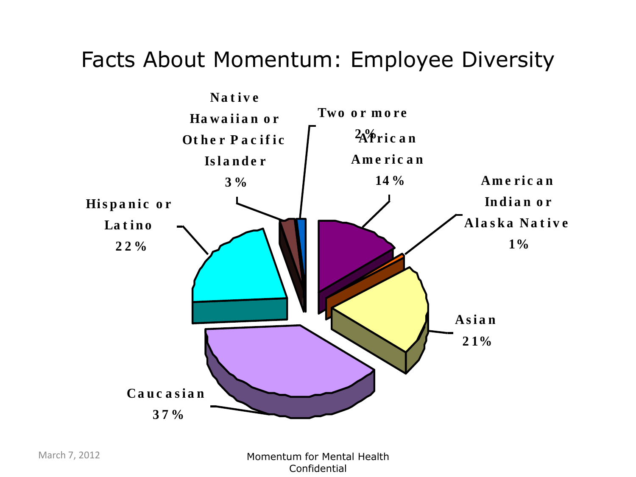#### Facts About Momentum: Employee Diversity

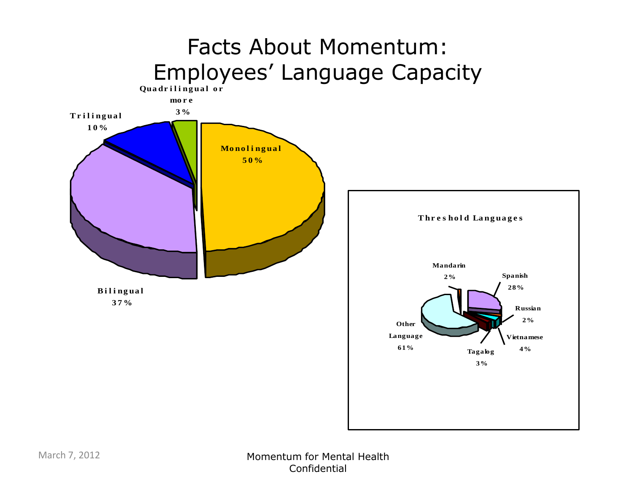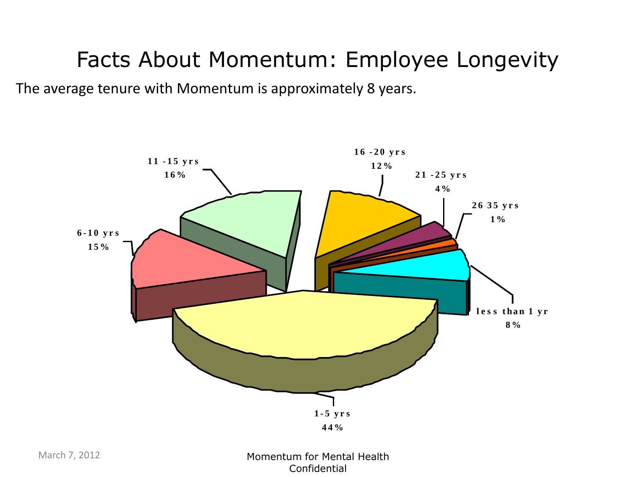### Facts About Momentum: Employee Longevity

The average tenure with Momentum is approximately 8 years.

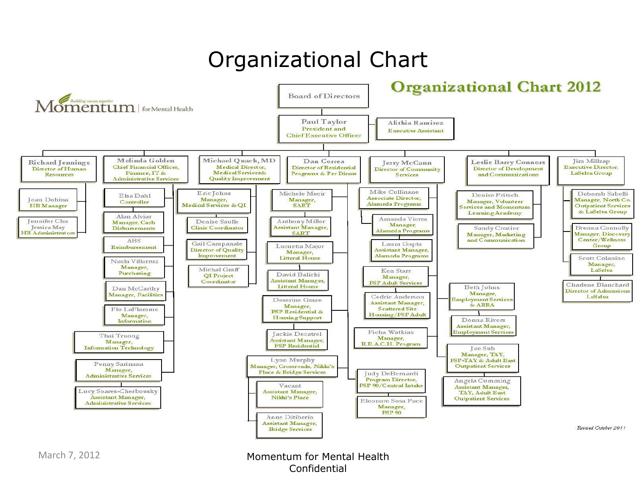### Organizational Chart



March 7, 2012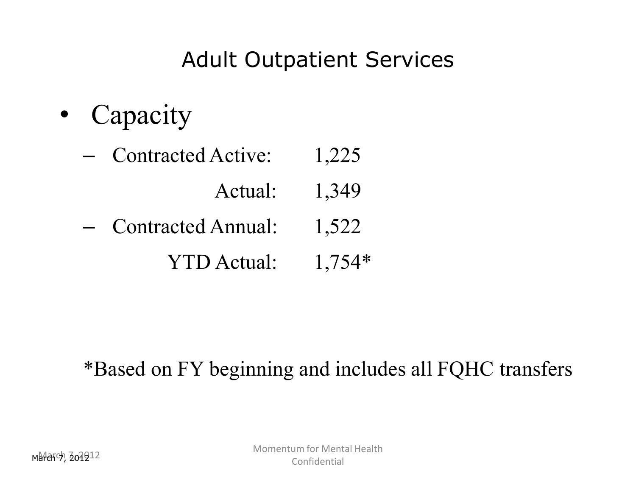### Adult Outpatient Services

• Capacity

| <b>Contracted Active:</b> | 1,225    |
|---------------------------|----------|
| Actual:                   | 1,349    |
| <b>Contracted Annual:</b> | 1,522    |
| <b>YTD</b> Actual:        | $1.754*$ |

#### \*Based on FY beginning and includes all FQHC transfers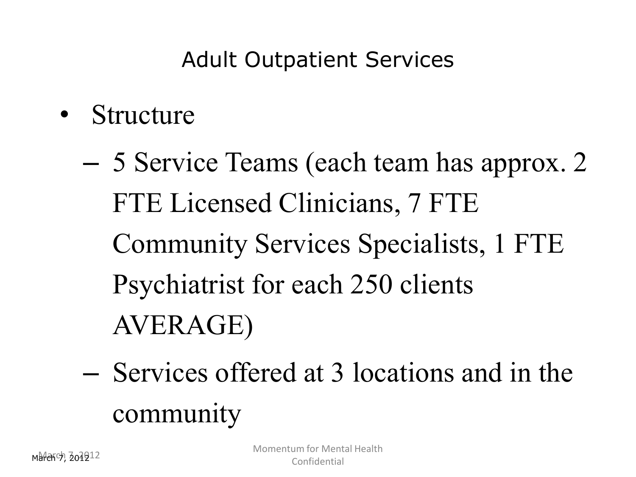### Adult Outpatient Services

- Structure
	- 5 Service Teams (each team has approx. 2 FTE Licensed Clinicians, 7 FTE Community Services Specialists, 1 FTE Psychiatrist for each 250 clients AVERAGE)
	- Services offered at 3 locations and in the community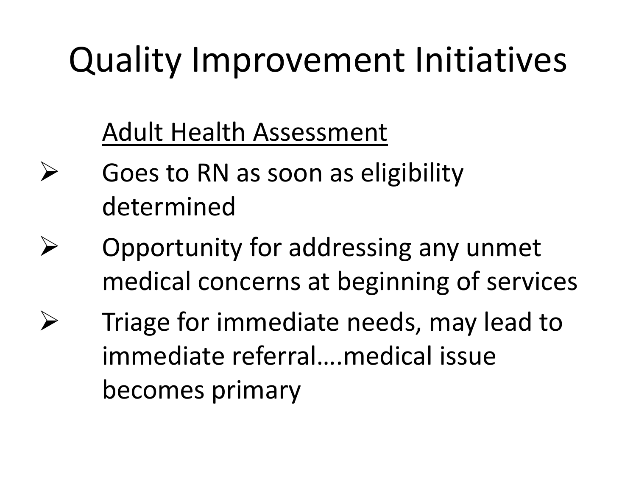### Adult Health Assessment

- $\triangleright$  Goes to RN as soon as eligibility determined
- $\triangleright$  Opportunity for addressing any unmet medical concerns at beginning of services
	- Triage for immediate needs, may lead to immediate referral….medical issue becomes primary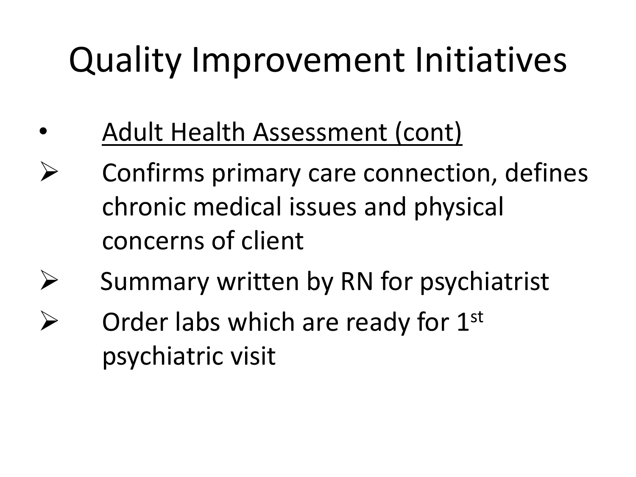- Adult Health Assessment (cont)
- Confirms primary care connection, defines chronic medical issues and physical concerns of client
- $\triangleright$  Summary written by RN for psychiatrist
- Order labs which are ready for 1st psychiatric visit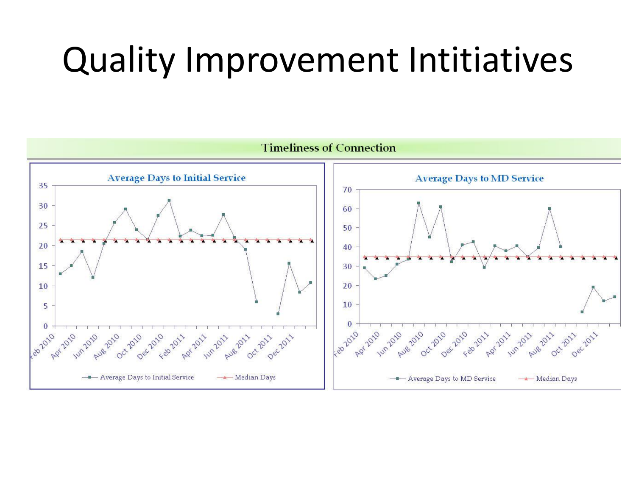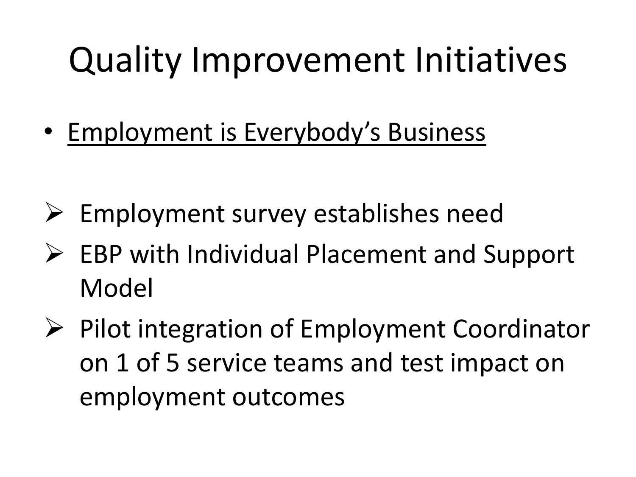• Employment is Everybody's Business

- $\triangleright$  Employment survey establishes need
- $\triangleright$  EBP with Individual Placement and Support Model
- $\triangleright$  Pilot integration of Employment Coordinator on 1 of 5 service teams and test impact on employment outcomes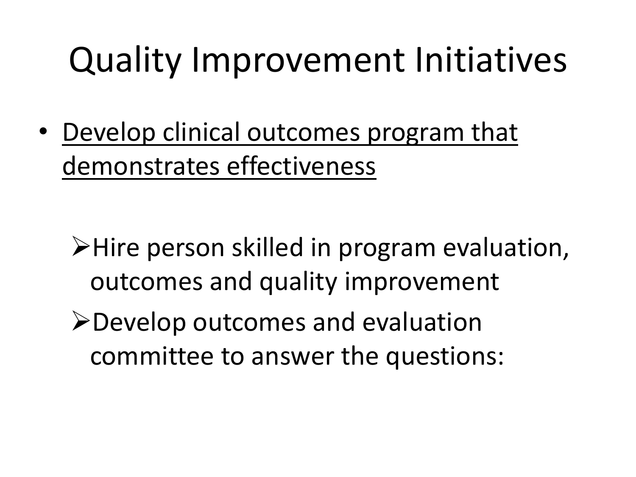• Develop clinical outcomes program that demonstrates effectiveness

- $\triangleright$  Hire person skilled in program evaluation, outcomes and quality improvement
- **≻Develop outcomes and evaluation** committee to answer the questions: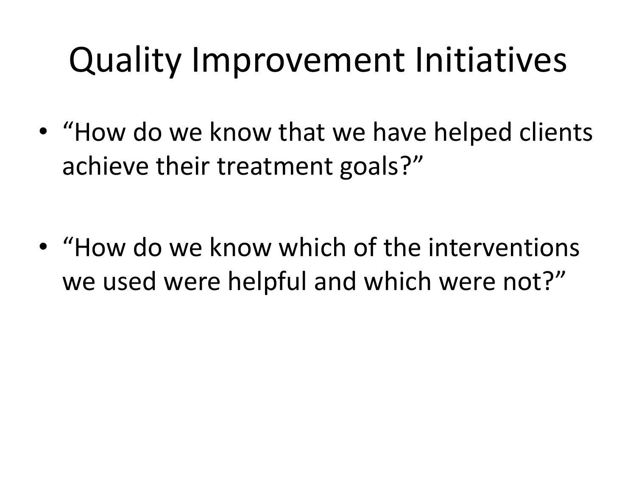• "How do we know that we have helped clients achieve their treatment goals?"

• "How do we know which of the interventions we used were helpful and which were not?"